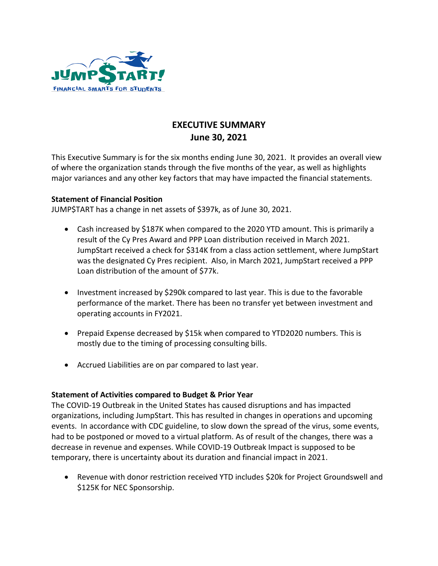

## **EXECUTIVE SUMMARY June 30, 2021**

This Executive Summary is for the six months ending June 30, 2021. It provides an overall view of where the organization stands through the five months of the year, as well as highlights major variances and any other key factors that may have impacted the financial statements.

## **Statement of Financial Position**

JUMP\$TART has a change in net assets of \$397k, as of June 30, 2021.

- Cash increased by \$187K when compared to the 2020 YTD amount. This is primarily a result of the Cy Pres Award and PPP Loan distribution received in March 2021. JumpStart received a check for \$314K from a class action settlement, where JumpStart was the designated Cy Pres recipient. Also, in March 2021, JumpStart received a PPP Loan distribution of the amount of \$77k.
- Investment increased by \$290k compared to last year. This is due to the favorable performance of the market. There has been no transfer yet between investment and operating accounts in FY2021.
- Prepaid Expense decreased by \$15k when compared to YTD2020 numbers. This is mostly due to the timing of processing consulting bills.
- Accrued Liabilities are on par compared to last year.

## **Statement of Activities compared to Budget & Prior Year**

The COVID-19 Outbreak in the United States has caused disruptions and has impacted organizations, including JumpStart. This has resulted in changes in operations and upcoming events. In accordance with CDC guideline, to slow down the spread of the virus, some events, had to be postponed or moved to a virtual platform. As of result of the changes, there was a decrease in revenue and expenses. While COVID-19 Outbreak Impact is supposed to be temporary, there is uncertainty about its duration and financial impact in 2021.

 Revenue with donor restriction received YTD includes \$20k for Project Groundswell and \$125K for NEC Sponsorship.